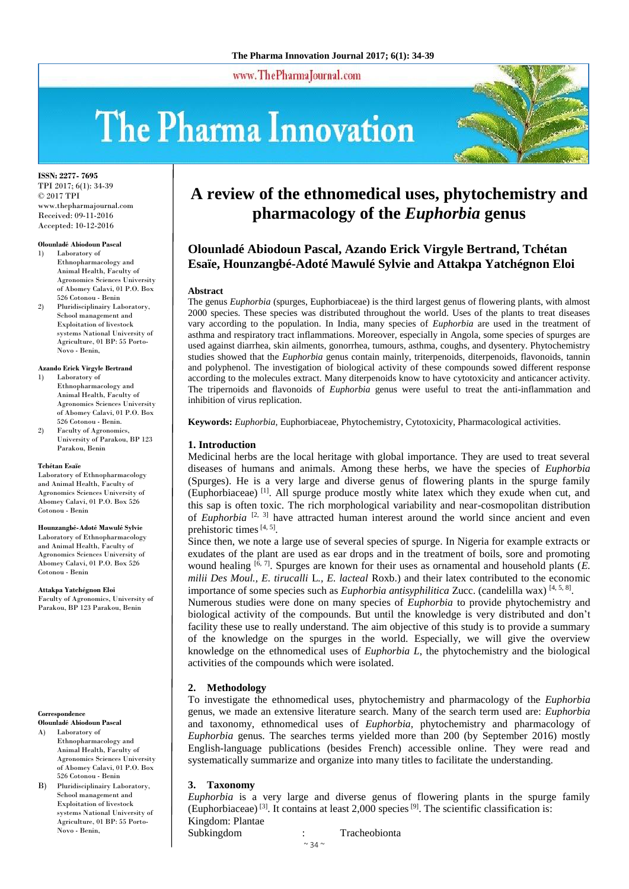www.ThePharmaJournal.com

# The Pharma Innovation



**ISSN: 2277- 7695** TPI 2017; 6(1): 34-39 © 2017 TPI www.thepharmajournal.com Received: 09-11-2016 Accepted: 10-12-2016

#### **Olounladé Abiodoun Pascal**

- 1) Laboratory of Ethnopharmacology and Animal Health, Faculty of Agronomics Sciences University of Abomey Calavi, 01 P.O. Box 526 Cotonou - Benin
- 2) Pluridisciplinairy Laboratory, School management and Exploitation of livestock systems National University of Agriculture, 01 BP: 55 Porto-Novo - Benin,

#### **Azando Erick Virgyle Bertrand**

- 1) Laboratory of Ethnopharmacology and Animal Health, Faculty of Agronomics Sciences University of Abomey Calavi, 01 P.O. Box 526 Cotonou - Benin.
- 2) Faculty of Agronomics, University of Parakou, BP 123 Parakou, Benin

#### **Tchétan Esaïe**

Laboratory of Ethnopharmacology and Animal Health, Faculty of Agronomics Sciences University of Abomey Calavi, 01 P.O. Box 526 Cotonou - Benin

#### **Hounzangbé-Adoté Mawulé Sylvie**

Laboratory of Ethnopharmacology and Animal Health, Faculty of Agronomics Sciences University of Abomey Calavi, 01 P.O. Box 526 Cotonou - Benin

**Attakpa Yatchégnon Eloi** Faculty of Agronomics, University of Parakou, BP 123 Parakou, Benin

#### **Correspondence**

- **Olounladé Abiodoun Pascal**
- A) Laboratory of Ethnopharmacology and Animal Health, Faculty of Agronomics Sciences University of Abomey Calavi, 01 P.O. Box 526 Cotonou - Benin
- B) Pluridisciplinairy Laboratory, School management and Exploitation of livestock systems National University of Agriculture, 01 BP: 55 Porto-Novo - Benin,

# **A review of the ethnomedical uses, phytochemistry and pharmacology of the** *Euphorbia* **genus**

## **Olounladé Abiodoun Pascal, Azando Erick Virgyle Bertrand, Tchétan Esaïe, Hounzangbé-Adoté Mawulé Sylvie and Attakpa Yatchégnon Eloi**

#### **Abstract**

The genus *Euphorbia* (spurges, Euphorbiaceae) is the third largest genus of flowering plants, with almost 2000 species. These species was distributed throughout the world. Uses of the plants to treat diseases vary according to the population. In India, many species of *Euphorbia* are used in the treatment of asthma and respiratory tract inflammations. Moreover, especially in Angola, some species of spurges are used against diarrhea, skin ailments, gonorrhea, tumours, asthma, coughs, and dysentery. Phytochemistry studies showed that the *Euphorbia* genus contain mainly, triterpenoids, diterpenoids, flavonoids, tannin and polyphenol. The investigation of biological activity of these compounds sowed different response according to the molecules extract. Many diterpenoids know to have cytotoxicity and anticancer activity. The tripernoids and flavonoids of *Euphorbia* genus were useful to treat the anti-inflammation and inhibition of virus replication.

**Keywords:** *Euphorbia*, Euphorbiaceae, Phytochemistry, Cytotoxicity, Pharmacological activities.

#### **1. Introduction**

Medicinal herbs are the local heritage with global importance. They are used to treat several diseases of humans and animals. Among these herbs, we have the species of *Euphorbia* (Spurges). He is a very large and diverse genus of flowering plants in the spurge family (Euphorbiaceae) [1]. All spurge produce mostly white latex which they exude when cut, and this sap is often toxic. The rich morphological variability and near-cosmopolitan distribution of *Euphorbia* <sup>[2, 3]</sup> have attracted human interest around the world since ancient and even prehistoric times [4, 5].

Since then, we note a large use of several species of spurge. In Nigeria for example extracts or exudates of the plant are used as ear drops and in the treatment of boils, sore and promoting wound healing  $[6, 7]$ . Spurges are known for their uses as ornamental and household plants  $(E$ . *milii Des Moul., E. tirucalli* L*., E. lacteal* Roxb.) and their latex contributed to the economic importance of some species such as *Euphorbia antisyphilitica* Zucc. (candelilla wax) [4, 5, 8].

Numerous studies were done on many species of *Euphorbia* to provide phytochemistry and biological activity of the compounds. But until the knowledge is very distributed and don't facility these use to really understand. The aim objective of this study is to provide a summary of the knowledge on the spurges in the world. Especially, we will give the overview knowledge on the ethnomedical uses of *Euphorbia L*, the phytochemistry and the biological activities of the compounds which were isolated.

#### **2. Methodology**

To investigate the ethnomedical uses, phytochemistry and pharmacology of the *Euphorbia*  genus, we made an extensive literature search. Many of the search term used are: *Euphorbia* and taxonomy, ethnomedical uses of *Euphorbia,* phytochemistry and pharmacology of *Euphorbia* genus. The searches terms yielded more than 200 (by September 2016) mostly English-language publications (besides French) accessible online. They were read and systematically summarize and organize into many titles to facilitate the understanding.

#### **3. Taxonomy**

*Euphorbia* is a very large and diverse genus of flowering plants in the spurge family (Euphorbiaceae)<sup>[3]</sup>. It contains at least  $2,000$  species<sup>[9]</sup>. The scientific classification is:

Kingdom: Plantae

Subkingdom : Tracheobionta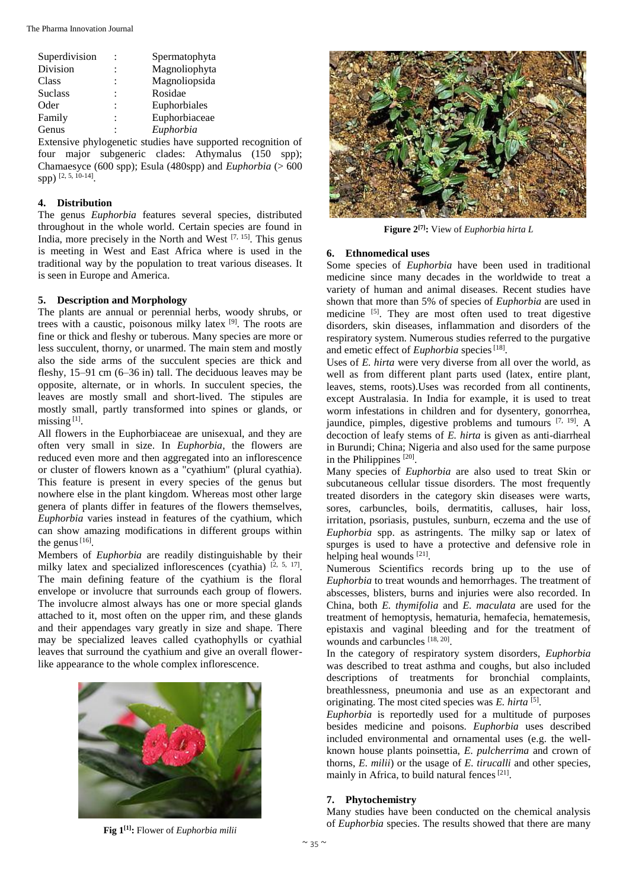The Pharma Innovation Journal

| Superdivision  | Spermatophyta |
|----------------|---------------|
| Division       | Magnoliophyta |
| Class          | Magnoliopsida |
| <b>Suclass</b> | Rosidae       |
| Oder           | Euphorbiales  |
| Family         | Euphorbiaceae |
| Genus          | Euphorbia     |
|                |               |

Extensive phylogenetic studies have supported recognition of four major subgeneric clades: Athymalus (150 spp); Chamaesyce (600 spp); Esula (480spp) and *Euphorbia* ( $>600$ spp) [2, 5, 10-14] .

#### **4. Distribution**

The genus *Euphorbia* features several species, distributed throughout in the whole world. Certain species are found in India, more precisely in the North and West  $[7, 15]$ . This genus is meeting in West and East Africa where is used in the traditional way by the population to treat various diseases. It is seen in Europe and America.

#### **5. Description and Morphology**

The plants are annual or perennial herbs, woody shrubs, or trees with a caustic, poisonous milky latex [9]. The roots are fine or thick and fleshy or tuberous. Many species are more or less succulent, thorny, or unarmed. The main stem and mostly also the side arms of the succulent species are thick and fleshy, 15–91 cm (6–36 in) tall. The deciduous leaves may be opposite, alternate, or in whorls. In succulent species, the leaves are mostly small and short-lived. The stipules are mostly small, partly transformed into spines or glands, or missing<sup>[1]</sup>.

All flowers in the Euphorbiaceae are unisexual, and they are often very small in size. In *Euphorbia*, the flowers are reduced even more and then aggregated into an inflorescence or cluster of flowers known as a "cyathium" (plural cyathia). This feature is present in every species of the genus but nowhere else in the plant kingdom. Whereas most other large genera of plants differ in features of the flowers themselves, *Euphorbia* varies instead in features of the cyathium, which can show amazing modifications in different groups within the genus  $[16]$ .

Members of *Euphorbia* are readily distinguishable by their milky latex and specialized inflorescences (cyathia)  $[2, 5, 17]$ . The main defining feature of the cyathium is the floral envelope or involucre that surrounds each group of flowers. The involucre almost always has one or more special glands attached to it, most often on the upper rim, and these glands and their appendages vary greatly in size and shape. There may be specialized leaves called cyathophylls or cyathial leaves that surround the cyathium and give an overall flowerlike appearance to the whole complex inflorescence.







**Figure 2[7]:** View of *Euphorbia hirta L*

#### **6. Ethnomedical uses**

Some species of *Euphorbia* have been used in traditional medicine since many decades in the worldwide to treat a variety of human and animal diseases. Recent studies have shown that more than 5% of species of *Euphorbia* are used in medicine <sup>[5]</sup>. They are most often used to treat digestive disorders, skin diseases, inflammation and disorders of the respiratory system. Numerous studies referred to the purgative and emetic effect of *Euphorbia* species<sup>[18]</sup>.

Uses of *E. hirta* were very diverse from all over the world, as well as from different plant parts used (latex, entire plant, leaves, stems, roots).Uses was recorded from all continents, except Australasia. In India for example, it is used to treat worm infestations in children and for dysentery, gonorrhea, jaundice, pimples, digestive problems and tumours [7, 19]. A decoction of leafy stems of *E. hirta* is given as anti-diarrheal in Burundi; China; Nigeria and also used for the same purpose in the Philippines<sup>[20]</sup>.

Many species of *Euphorbia* are also used to treat Skin or subcutaneous cellular tissue disorders. The most frequently treated disorders in the category skin diseases were warts, sores, carbuncles, boils, dermatitis, calluses, hair loss, irritation, psoriasis, pustules, sunburn, eczema and the use of *Euphorbia* spp. as astringents. The milky sap or latex of spurges is used to have a protective and defensive role in helping heal wounds [21].

Numerous Scientifics records bring up to the use of *Euphorbia* to treat wounds and hemorrhages. The treatment of abscesses, blisters, burns and injuries were also recorded. In China, both *E. thymifolia* and *E. maculata* are used for the treatment of hemoptysis, hematuria, hemafecia, hematemesis, epistaxis and vaginal bleeding and for the treatment of wounds and carbuncles [18, 20].

In the category of respiratory system disorders, *Euphorbia* was described to treat asthma and coughs, but also included descriptions of treatments for bronchial complaints, breathlessness, pneumonia and use as an expectorant and originating. The most cited species was *E. hirta* [5].

*Euphorbia* is reportedly used for a multitude of purposes besides medicine and poisons. *Euphorbia* uses described included environmental and ornamental uses (e.g. the wellknown house plants poinsettia, *E. pulcherrima* and crown of thorns, *E. milii*) or the usage of *E. tirucalli* and other species, mainly in Africa, to build natural fences<sup>[21]</sup>.

#### **7. Phytochemistry**

Many studies have been conducted on the chemical analysis of *Euphorbia* species. The results showed that there are many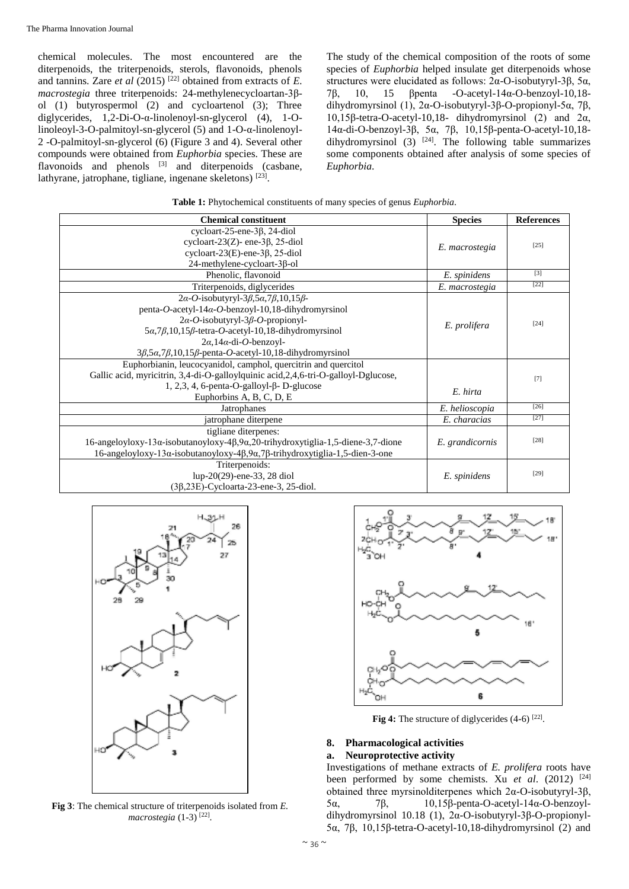chemical molecules. The most encountered are the diterpenoids, the triterpenoids, sterols, flavonoids, phenols and tannins. Zare *et al* (2015)<sup>[22]</sup> obtained from extracts of *E*. *macrostegia* three triterpenoids: 24-methylenecycloartan-3βol (1) butyrospermol (2) and cycloartenol (3); Three diglycerides, 1,2-Di-O-α-linolenoyl-sn-glycerol (4), 1-Olinoleoyl-3-O-palmitoyl-sn-glycerol (5) and 1-O-α-linolenoyl-2 -O-palmitoyl-sn-glycerol (6) (Figure 3 and 4). Several other compounds were obtained from *Euphorbia* species. These are flavonoids and phenols <sup>[3]</sup> and diterpenoids (casbane, lathyrane, jatrophane, tigliane, ingenane skeletons)<sup>[23]</sup>.

The study of the chemical composition of the roots of some species of *Euphorbia* helped insulate get diterpenoids whose structures were elucidated as follows: 2α-O-isobutyryl-3β, 5α, 7β, 10, 15 βpenta -O-acetyl-14α-O-benzoyl-10,18 dihydromyrsinol (1), 2α-O-isobutyryl-3β-O-propionyl-5α, 7β, 10,15β-tetra-O-acetyl-10,18- dihydromyrsinol (2) and 2α, 14α-di-O-benzoyl-3β, 5α, 7β, 10,15β-penta-O-acetyl-10,18 dihydromyrsinol (3)  $[24]$ . The following table summarizes some components obtained after analysis of some species of *Euphorbia*.

| <b>Chemical constituent</b>                                                                                  | <b>Species</b>  | <b>References</b> |
|--------------------------------------------------------------------------------------------------------------|-----------------|-------------------|
| cycloart-25-ene-3 $\beta$ , 24-diol                                                                          |                 | $[25]$            |
| cycloart-23(Z)- ene-3 $\beta$ , 25-diol                                                                      | E. macrostegia  |                   |
| cycloart- $23(E)$ -ene- $3\beta$ , 25-diol                                                                   |                 |                   |
| 24-methylene-cycloart-3β-ol                                                                                  |                 |                   |
| Phenolic, flavonoid                                                                                          | E. spinidens    | $[3]$             |
| Triterpenoids, diglycerides                                                                                  | E. macrostegia  | $[22]$            |
| $2\alpha$ -O-isobutyryl-3 $\beta$ ,5 $\alpha$ ,7 $\beta$ ,10,15 $\beta$ -                                    |                 |                   |
| penta-O-acetyl-14 $\alpha$ -O-benzoyl-10,18-dihydromyrsinol                                                  |                 |                   |
| $2\alpha$ -O-isobutyryl-3 $\beta$ -O-propionyl-                                                              |                 | $[24]$            |
| $5\alpha$ , $7\beta$ , $10$ , $15\beta$ -tetra- $O$ -acetyl-10, $18$ -dihydromyrsinol                        | E. prolifera    |                   |
| $2\alpha$ , 14 $\alpha$ -di- <i>O</i> -benzoyl-                                                              |                 |                   |
| $3\beta$ , $5\alpha$ , $7\beta$ , $10$ , $15\beta$ -penta- <i>O</i> -acetyl-10, 18-dihydromyrsinol           |                 |                   |
| Euphorbianin, leucocyanidol, camphol, quercitrin and quercitol                                               |                 |                   |
| Gallic acid, myricitrin, 3,4-di-O-galloylquinic acid, 2, 4, 6-tri-O-galloyl-Dglucose,                        |                 | $[7]$             |
| 1, 2,3, 4, 6-penta-O-galloyl-β- D-glucose                                                                    | E. hirta        |                   |
| Euphorbins A, B, C, D, E                                                                                     |                 |                   |
| Jatrophanes                                                                                                  | E. helioscopia  | $[26]$            |
| jatrophane diterpene                                                                                         | E. characias    | $[27]$            |
| tigliane diterpenes:                                                                                         |                 |                   |
| $16$ -angeloyloxy-13 $\alpha$ -isobutanoyloxy-4 $\beta$ ,9 $\alpha$ ,20-trihydroxytiglia-1,5-diene-3,7-dione | E. grandicornis | $[28]$            |
| 16-angeloyloxy-13α-isobutanoyloxy-4β,9α,7β-trihydroxytiglia-1,5-dien-3-one                                   |                 |                   |
| Triterpenoids:                                                                                               |                 |                   |
| lup-20(29)-ene-33, 28 diol                                                                                   | E. spinidens    | $[29]$            |
| $(3\beta, 23E)$ -Cycloarta-23-ene-3, 25-diol.                                                                |                 |                   |



**Fig 3**: The chemical structure of triterpenoids isolated from *E. macrostegia* (1-3) [22] .



Fig 4: The structure of diglycerides (4-6)<sup>[22]</sup>.

### **8. Pharmacological activities**

#### **a. Neuroprotective activity**

Investigations of methane extracts of *E. prolifera* roots have been performed by some chemists. Xu *et al.* (2012) <sup>[24]</sup> obtained three myrsinolditerpenes which 2α-O-isobutyryl-3β, 5α, 7β, 10,15β-penta-O-acetyl-14α-O-benzoyldihydromyrsinol 10.18 (1), 2α-O-isobutyryl-3β-O-propionyl-5α, 7β, 10,15β-tetra-O-acetyl-10,18-dihydromyrsinol (2) and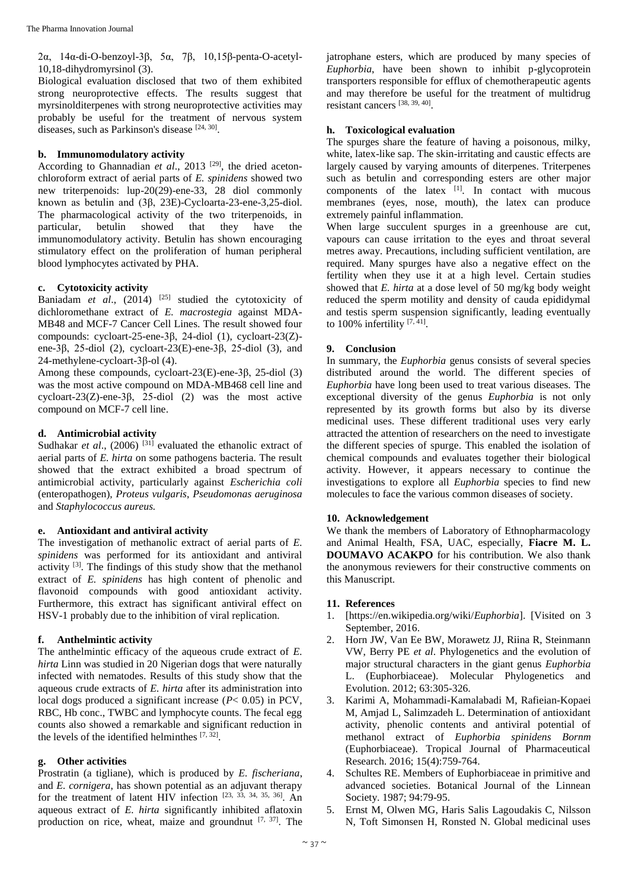2α, 14α-di-O-benzoyl-3β, 5α, 7β, 10,15β-penta-O-acetyl-10,18-dihydromyrsinol (3).

Biological evaluation disclosed that two of them exhibited strong neuroprotective effects. The results suggest that myrsinolditerpenes with strong neuroprotective activities may probably be useful for the treatment of nervous system diseases, such as Parkinson's disease [24, 30].

#### **b. Immunomodulatory activity**

According to Ghannadian *et al.*, 2013<sup>[29]</sup>, the dried acetonchloroform extract of aerial parts of *E. spinidens* showed two new triterpenoids: lup-20(29)-ene-33, 28 diol commonly known as betulin and (3β, 23E)-Cycloarta-23-ene-3,25-diol. The pharmacological activity of the two triterpenoids, in particular, betulin showed that they have the immunomodulatory activity. Betulin has shown encouraging stimulatory effect on the proliferation of human peripheral blood lymphocytes activated by PHA.

#### **c. Cytotoxicity activity**

Baniadam *et al.*, (2014)<sup>[25]</sup> studied the cytotoxicity of dichloromethane extract of *E. macrostegia* against MDA-MB48 and MCF-7 Cancer Cell Lines. The result showed four compounds: cycloart-25-ene-3β, 24-diol (1), cycloart-23(Z) ene-3β, 25-diol (2), cycloart-23(E)-ene-3β, 25-diol (3), and 24-methylene-cycloart-3β-ol (4).

Among these compounds, cycloart-23(E)-ene-3β, 25-diol (3) was the most active compound on MDA-MB468 cell line and cycloart-23(Z)-ene-3β, 25-diol (2) was the most active compound on MCF-7 cell line.

#### **d. Antimicrobial activity**

Sudhakar *et al.*, (2006)<sup>[31]</sup> evaluated the ethanolic extract of aerial parts of *E. hirta* on some pathogens bacteria. The result showed that the extract exhibited a broad spectrum of antimicrobial activity, particularly against *Escherichia coli* (enteropathogen), *Proteus vulgaris*, *Pseudomonas aeruginosa* and *Staphylococcus aureus.*

#### **e. Antioxidant and antiviral activity**

The investigation of methanolic extract of aerial parts of *E. spinidens* was performed for its antioxidant and antiviral activity [3]. The findings of this study show that the methanol extract of *E. spinidens* has high content of phenolic and flavonoid compounds with good antioxidant activity. Furthermore, this extract has significant antiviral effect on HSV-1 probably due to the inhibition of viral replication.

#### **f. Anthelmintic activity**

The anthelmintic efficacy of the aqueous crude extract of *E. hirta* Linn was studied in 20 Nigerian dogs that were naturally infected with nematodes. Results of this study show that the aqueous crude extracts of *E. hirta* after its administration into local dogs produced a significant increase ( $P < 0.05$ ) in PCV, RBC, Hb conc., TWBC and lymphocyte counts. The fecal egg counts also showed a remarkable and significant reduction in the levels of the identified helminthes  $[7, 32]$ .

#### **g. Other activities**

Prostratin (a tigliane), which is produced by *E. fischeriana*, and *E. cornigera*, has shown potential as an adjuvant therapy for the treatment of latent HIV infection  $[23, 33, 34, 35, 36]$ . An aqueous extract of *E. hirta* significantly inhibited aflatoxin production on rice, wheat, maize and groundnut  $[7, 37]$ . The

jatrophane esters, which are produced by many species of *Euphorbia*, have been shown to inhibit p-glycoprotein transporters responsible for efflux of chemotherapeutic agents and may therefore be useful for the treatment of multidrug resistant cancers [38, 39, 40] .

#### **h. Toxicological evaluation**

The spurges share the feature of having a poisonous, milky, white, latex-like sap. The skin-irritating and caustic effects are largely caused by varying amounts of diterpenes. Triterpenes such as betulin and corresponding esters are other major components of the latex  $[1]$ . In contact with mucous membranes (eyes, nose, mouth), the latex can produce extremely painful inflammation.

When large succulent spurges in a greenhouse are cut, vapours can cause irritation to the eyes and throat several metres away. Precautions, including sufficient ventilation, are required. Many spurges have also a negative effect on the fertility when they use it at a high level. Certain studies showed that *E. hirta* at a dose level of 50 mg/kg body weight reduced the sperm motility and density of cauda epididymal and testis sperm suspension significantly, leading eventually to 100% infertility  $[7, 41]$ .

#### **9. Conclusion**

In summary, the *Euphorbia* genus consists of several species distributed around the world. The different species of *Euphorbia* have long been used to treat various diseases. The exceptional diversity of the genus *Euphorbia* is not only represented by its growth forms but also by its diverse medicinal uses. These different traditional uses very early attracted the attention of researchers on the need to investigate the different species of spurge. This enabled the isolation of chemical compounds and evaluates together their biological activity. However, it appears necessary to continue the investigations to explore all *Euphorbia* species to find new molecules to face the various common diseases of society.

#### **10. Acknowledgement**

We thank the members of Laboratory of Ethnopharmacology and Animal Health, FSA, UAC, especially, **Fiacre M. L. DOUMAVO ACAKPO** for his contribution. We also thank the anonymous reviewers for their constructive comments on this Manuscript.

#### **11. References**

- 1. [https://en.wikipedia.org/wiki/*Euphorbia*]. [Visited on 3 September, 2016.
- 2. Horn JW, Van Ee BW, Morawetz JJ, Riina R, Steinmann VW, Berry PE *et al*. Phylogenetics and the evolution of major structural characters in the giant genus *Euphorbia* L. (Euphorbiaceae). Molecular Phylogenetics and Evolution. 2012; 63:305-326.
- 3. Karimi A, Mohammadi-Kamalabadi M, Rafieian-Kopaei M, Amjad L, Salimzadeh L. Determination of antioxidant activity, phenolic contents and antiviral potential of methanol extract of *Euphorbia spinidens Bornm* (Euphorbiaceae). Tropical Journal of Pharmaceutical Research. 2016; 15(4):759-764.
- 4. Schultes RE. Members of Euphorbiaceae in primitive and advanced societies. Botanical Journal of the Linnean Society. 1987; 94:79-95.
- 5. Ernst M, Olwen MG, Haris Salis Lagoudakis C, Nilsson N, Toft Simonsen H, Ronsted N. Global medicinal uses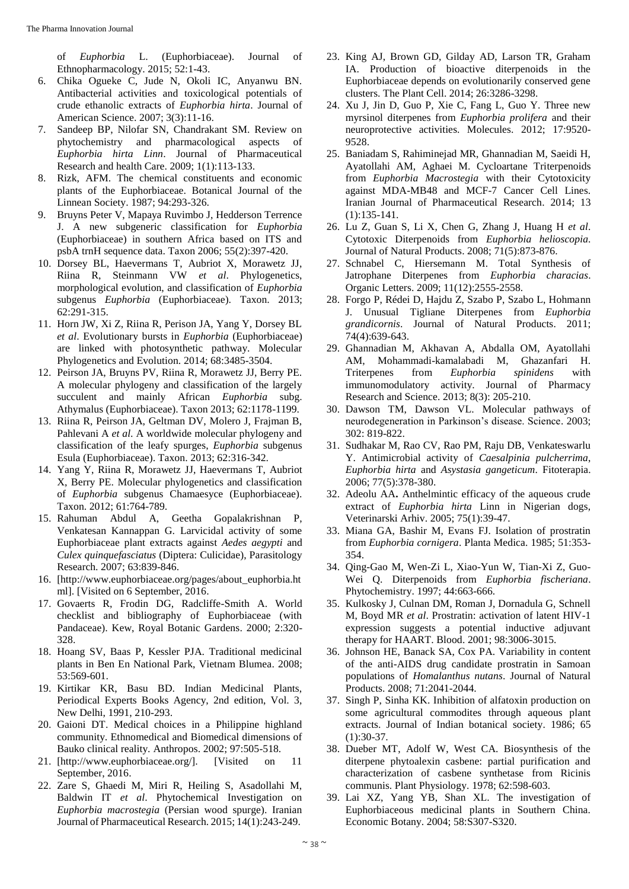of *Euphorbia* L. (Euphorbiaceae). Journal of Ethnopharmacology. 2015; 52:1-43.

- 6. Chika Ogueke C, Jude N, Okoli IC, Anyanwu BN. Antibacterial activities and toxicological potentials of crude ethanolic extracts of *Euphorbia hirta*. Journal of American Science. 2007; 3(3):11-16.
- 7. Sandeep BP, Nilofar SN, Chandrakant SM. Review on phytochemistry and pharmacological aspects of *Euphorbia hirta Linn*. Journal of Pharmaceutical Research and health Care. 2009; 1(1):113-133.
- 8. Rizk, AFM. The chemical constituents and economic plants of the Euphorbiaceae. Botanical Journal of the Linnean Society. 1987; 94:293-326.
- 9. Bruyns Peter V, Mapaya Ruvimbo J, Hedderson Terrence J. A new subgeneric classification for *Euphorbia*  (Euphorbiaceae) in southern Africa based on ITS and psbA trnH sequence data. Taxon 2006; 55(2):397-420.
- 10. Dorsey BL, Haevermans T, Aubriot X, Morawetz JJ, Riina R, Steinmann VW *et al*. Phylogenetics, morphological evolution, and classification of *Euphorbia* subgenus *Euphorbia* (Euphorbiaceae). Taxon. 2013; 62:291-315.
- 11. Horn JW, Xi Z, Riina R, Perison JA, Yang Y, Dorsey BL *et al*. Evolutionary bursts in *Euphorbia* (Euphorbiaceae) are linked with photosynthetic pathway. Molecular Phylogenetics and Evolution. 2014; 68:3485-3504.
- 12. Peirson JA, Bruyns PV, Riina R, Morawetz JJ, Berry PE. A molecular phylogeny and classification of the largely succulent and mainly African *Euphorbia* subg. Athymalus (Euphorbiaceae). Taxon 2013; 62:1178-1199.
- 13. Riina R, Peirson JA, Geltman DV, Molero J, Frajman B, Pahlevani A *et al*. A worldwide molecular phylogeny and classification of the leafy spurges, *Euphorbia* subgenus Esula (Euphorbiaceae). Taxon. 2013; 62:316-342.
- 14. Yang Y, Riina R, Morawetz JJ, Haevermans T, Aubriot X, Berry PE. Molecular phylogenetics and classification of *Euphorbia* subgenus Chamaesyce (Euphorbiaceae). Taxon. 2012; 61:764-789.
- 15. Rahuman Abdul A, Geetha Gopalakrishnan P, Venkatesan Kannappan G. Larvicidal activity of some Euphorbiaceae plant extracts against *Aedes aegypti* and *Culex quinquefasciatus* (Diptera: Culicidae), Parasitology Research. 2007; 63:839-846.
- 16. [http://www.euphorbiaceae.org/pages/about\_euphorbia.ht ml]. [Visited on 6 September, 2016.
- 17. Govaerts R, Frodin DG, Radcliffe-Smith A. World checklist and bibliography of Euphorbiaceae (with Pandaceae). Kew, Royal Botanic Gardens. 2000; 2:320- 328.
- 18. Hoang SV, Baas P, Kessler PJA. Traditional medicinal plants in Ben En National Park, Vietnam Blumea. 2008; 53:569-601.
- 19. Kirtikar KR, Basu BD. Indian Medicinal Plants, Periodical Experts Books Agency, 2nd edition, Vol. 3, New Delhi, 1991, 210-293.
- 20. Gaioni DT. Medical choices in a Philippine highland community. Ethnomedical and Biomedical dimensions of Bauko clinical reality. Anthropos. 2002; 97:505-518.
- 21. [http://www.euphorbiaceae.org/]. [Visited on 11 September, 2016.
- 22. Zare S, Ghaedi M, Miri R, Heiling S, Asadollahi M, Baldwin IT *et al*. Phytochemical Investigation on *Euphorbia macrostegia* (Persian wood spurge). Iranian Journal of Pharmaceutical Research. 2015; 14(1):243-249.
- 23. King AJ, Brown GD, Gilday AD, Larson TR, Graham IA. Production of bioactive diterpenoids in the Euphorbiaceae depends on evolutionarily conserved gene clusters. The Plant Cell. 2014; 26:3286-3298.
- 24. Xu J, Jin D, Guo P, Xie C, Fang L, Guo Y. Three new myrsinol diterpenes from *Euphorbia prolifera* and their neuroprotective activities. Molecules. 2012; 17:9520- 9528.
- 25. Baniadam S, Rahiminejad MR, Ghannadian M, Saeidi H, Ayatollahi AM, Aghaei M. Cycloartane Triterpenoids from *Euphorbia Macrostegia* with their Cytotoxicity against MDA-MB48 and MCF-7 Cancer Cell Lines. Iranian Journal of Pharmaceutical Research. 2014; 13 (1):135-141.
- 26. Lu Z, Guan S, Li X, Chen G, Zhang J, Huang H *et al*. Cytotoxic Diterpenoids from *Euphorbia helioscopia*. Journal of Natural Products. 2008; 71(5):873-876.
- 27. Schnabel C, Hiersemann M. Total Synthesis of Jatrophane Diterpenes from *Euphorbia characias*. Organic Letters. 2009; 11(12):2555-2558.
- 28. Forgo P, Rédei D, Hajdu Z, Szabo P, Szabo L, Hohmann J. Unusual Tigliane Diterpenes from *Euphorbia grandicornis*. Journal of Natural Products. 2011; 74(4):639-643.
- 29. Ghannadian M, Akhavan A, Abdalla OM, Ayatollahi AM, Mohammadi-kamalabadi M, Ghazanfari H. Triterpenes from *Euphorbia spinidens* with immunomodulatory activity. Journal of Pharmacy Research and Science. 2013; 8(3): 205-210.
- 30. Dawson TM, Dawson VL. Molecular pathways of neurodegeneration in Parkinson's disease. Science. 2003; 302: 819-822.
- 31. Sudhakar M, Rao CV, Rao PM, Raju DB, Venkateswarlu Y. Antimicrobial activity of *Caesalpinia pulcherrima*, *Euphorbia hirta* and *Asystasia gangeticum*. Fitoterapia. 2006; 77(5):378-380.
- 32. Adeolu AA**.** Anthelmintic efficacy of the aqueous crude extract of *Euphorbia hirta* Linn in Nigerian dogs, Veterinarski Arhiv. 2005; 75(1):39-47.
- 33. Miana GA, Bashir M, Evans FJ. Isolation of prostratin from *Euphorbia cornigera*. Planta Medica. 1985; 51:353- 354.
- 34. Qing-Gao M, Wen-Zi L, Xiao-Yun W, Tian-Xi Z, Guo-Wei Q. Diterpenoids from *Euphorbia fischeriana*. Phytochemistry. 1997; 44:663-666.
- 35. Kulkosky J, Culnan DM, Roman J, Dornadula G, Schnell M, Boyd MR *et al*. Prostratin: activation of latent HIV-1 expression suggests a potential inductive adjuvant therapy for HAART. Blood. 2001; 98:3006-3015.
- 36. Johnson HE, Banack SA, Cox PA. Variability in content of the anti-AIDS drug candidate prostratin in Samoan populations of *Homalanthus nutans*. Journal of Natural Products. 2008; 71:2041-2044.
- 37. Singh P, Sinha KK. Inhibition of alfatoxin production on some agricultural commodites through aqueous plant extracts. Journal of Indian botanical society. 1986; 65 (1):30-37.
- 38. Dueber MT, Adolf W, West CA. Biosynthesis of the diterpene phytoalexin casbene: partial purification and characterization of casbene synthetase from Ricinis communis. Plant Physiology. 1978; 62:598-603.
- 39. Lai XZ, Yang YB, Shan XL. The investigation of Euphorbiaceous medicinal plants in Southern China. Economic Botany. 2004; 58:S307-S320.